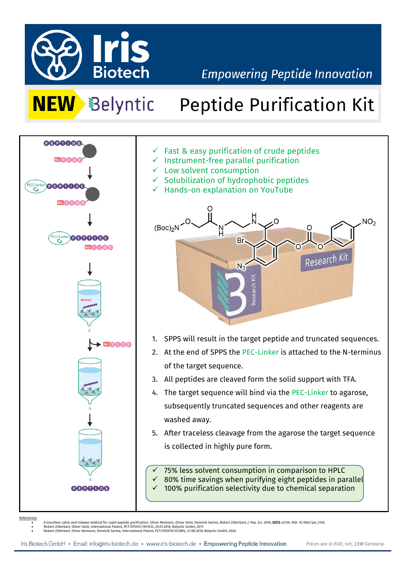

## **Empowering Peptide Innovation**

# **NEW** Belyntic Peptide Purification Kit



- $\checkmark$  Fast & easy purification of crude peptides
- $\checkmark$  Instrument-free parallel purification
- $\checkmark$  Low solvent consumption
- $\checkmark$  Solubilization of hydrophobic peptides
- ✓ Hands-on explanation on YouTube



- 1. SPPS will result in the target peptide and truncated sequences.
- 2. At the end of SPPS the PEC-Linker is attached to the N-terminus of the target sequence.
- 3. All peptides are cleaved form the solid support with TFA.
- 4. The target sequence will bind via the PEC-Linker to agarose, subsequently truncated sequences and other reagents are washed away.
- 5. After traceless cleavage from the agarose the target sequence is collected in highly pure form.

75% less solvent consumption in comparison to HPLC  $\checkmark$  80% time savings when purifying eight peptides in parallel  $\checkmark$  100% purification selectivity due to chemical separation

References:

• A traceless catch-and-release method for rapid peptide purification. Oliver Reimann, Oliver Seitz, Dominik Sarma, Robert Zitterbart; J. Pep. Sci. 2019; **25(1):** e3136. DOI: 10.1002/psc.3136.<br>•

• Robert Zitterbart, Oliver Reimann, Dominik Sarma, International Patent, PCT/EP2019/072894, 27.08.2018, Belyntic GmbH, 2020.

Iris Biotech GmbH · Email: info@iris-biotech.de · www.iris-biotech.de · Empowering Peptide Innovation